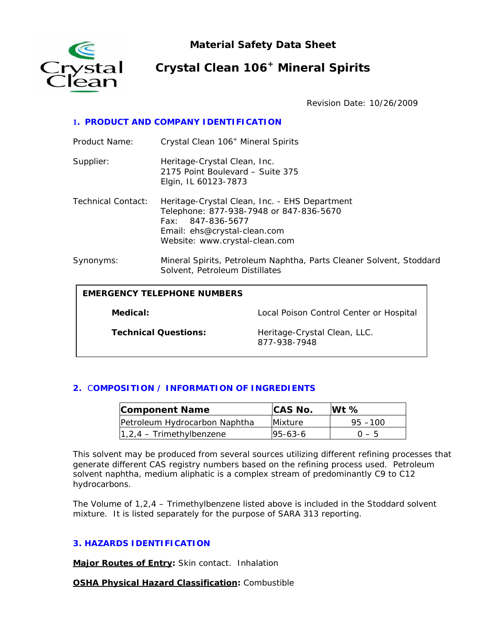

**Material Safety Data Sheet** 

# **Crystal Clean 106+ Mineral Spirits**

Revision Date: 10/26/2009

# **1. PRODUCT AND COMPANY IDENTIFICATION**

| Product Name:                      | Crystal Clean 106 <sup>+</sup> Mineral Spirits                                                                                                                                  |                                              |  |
|------------------------------------|---------------------------------------------------------------------------------------------------------------------------------------------------------------------------------|----------------------------------------------|--|
| Supplier:                          | Heritage-Crystal Clean, Inc.<br>2175 Point Boulevard - Suite 375<br>Elgin, IL 60123-7873                                                                                        |                                              |  |
| Technical Contact:                 | Heritage-Crystal Clean, Inc. - EHS Department<br>Telephone: 877-938-7948 or 847-836-5670<br>Fax: 847-836-5677<br>Email: ehs@crystal-clean.com<br>Website: www.crystal-clean.com |                                              |  |
| Synonyms:                          | Mineral Spirits, Petroleum Naphtha, Parts Cleaner Solvent, Stoddard<br>Solvent, Petroleum Distillates                                                                           |                                              |  |
| <b>EMERGENCY TELEPHONE NUMBERS</b> |                                                                                                                                                                                 |                                              |  |
| Medical:                           |                                                                                                                                                                                 | Local Poison Control Center or Hospital      |  |
|                                    | <b>Technical Questions:</b>                                                                                                                                                     | Heritage-Crystal Clean, LLC.<br>877-938-7948 |  |

# **2.** C**OMPOSITION / INFORMATION OF INGREDIENTS**

| <b>Component Name</b>         | <b>CAS No.</b> | $Wt \%$    |
|-------------------------------|----------------|------------|
| Petroleum Hydrocarbon Naphtha | Mixture        | $95 - 100$ |
| $1,2,4$ – Trimethylbenzene    | $95 - 63 - 6$  | $0 - 5$    |

This solvent may be produced from several sources utilizing different refining processes that generate different CAS registry numbers based on the refining process used. Petroleum solvent naphtha, medium aliphatic is a complex stream of predominantly C9 to C12 hydrocarbons.

The Volume of 1,2,4 – Trimethylbenzene listed above is included in the Stoddard solvent mixture. It is listed separately for the purpose of SARA 313 reporting.

# **3. HAZARDS IDENTIFICATION**

**Major Routes of Entry:** Skin contact. Inhalation

**OSHA Physical Hazard Classification:** Combustible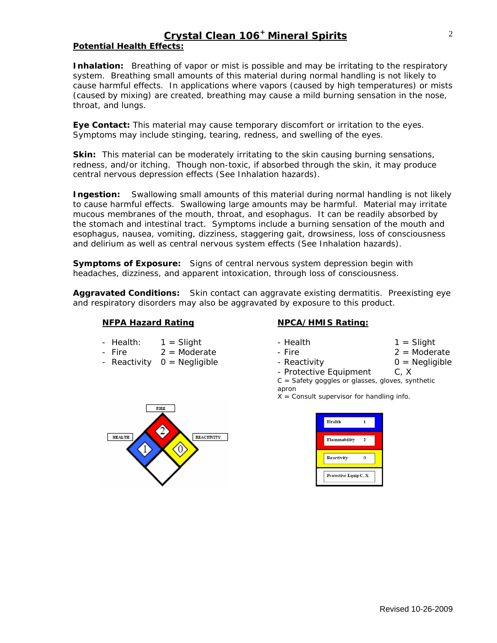# **Crystal Clean 106+ Mineral Spirits**

## **Potential Health Effects:**

**Inhalation:** Breathing of vapor or mist is possible and may be irritating to the respiratory system. Breathing small amounts of this material during normal handling is not likely to cause harmful effects. In applications where vapors (caused by high temperatures) or mists (caused by mixing) are created, breathing may cause a mild burning sensation in the nose, throat, and lungs.

**Eye Contact:** This material may cause temporary discomfort or irritation to the eyes. Symptoms may include stinging, tearing, redness, and swelling of the eyes.

**Skin:** This material can be moderately irritating to the skin causing burning sensations, redness, and/or itching. Though non-toxic, if absorbed through the skin, it may produce central nervous depression effects (See Inhalation hazards).

**Ingestion:** Swallowing small amounts of this material during normal handling is not likely to cause harmful effects. Swallowing large amounts may be harmful. Material may irritate mucous membranes of the mouth, throat, and esophagus. It can be readily absorbed by the stomach and intestinal tract. Symptoms include a burning sensation of the mouth and esophagus, nausea, vomiting, dizziness, staggering gait, drowsiness, loss of consciousness and delirium as well as central nervous system effects (See Inhalation hazards).

**Symptoms of Exposure:** Signs of central nervous system depression begin with headaches, dizziness, and apparent intoxication, through loss of consciousness.

**Aggravated Conditions:** Skin contact can aggravate existing dermatitis. Preexisting eye and respiratory disorders may also be aggravated by exposure to this product.

#### **NFPA Hazard Rating NPCA/HMIS Rating:**

- Health:  $1 =$  Slight  $1 =$  Slight  $1 =$  Slight
- Fire 2 = Moderate Fire 2 = Moderate
- Reactivity  $0 =$  Negligible  $1 -$  Reactivity  $0 =$  Negligible



| ealth |  |  |
|-------|--|--|
|       |  |  |

- 
- 
- 

- Protective Equipment C, X  $C =$  Safety goggles or glasses, gloves, synthetic apron

 $X =$  Consult supervisor for handling info.

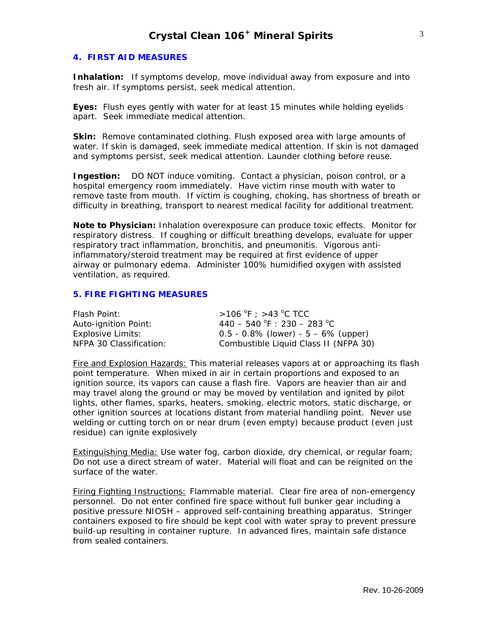#### **4. FIRST AID MEASURES**

**Inhalation:** If symptoms develop, move individual away from exposure and into fresh air. If symptoms persist, seek medical attention.

**Eyes:** Flush eyes gently with water for at least 15 minutes while holding eyelids apart. Seek immediate medical attention.

**Skin:** Remove contaminated clothing. Flush exposed area with large amounts of water. If skin is damaged, seek immediate medical attention. If skin is not damaged and symptoms persist, seek medical attention. Launder clothing before reuse.

**Ingestion:** DO NOT induce vomiting. Contact a physician, poison control, or a hospital emergency room immediately. Have victim rinse mouth with water to remove taste from mouth. If victim is coughing, choking, has shortness of breath or difficulty in breathing, transport to nearest medical facility for additional treatment.

**Note to Physician:** Inhalation overexposure can produce toxic effects. Monitor for respiratory distress. If coughing or difficult breathing develops, evaluate for upper respiratory tract inflammation, bronchitis, and pneumonitis. Vigorous antiinflammatory/steroid treatment may be required at first evidence of upper airway or pulmonary edema. Administer 100% humidified oxygen with assisted ventilation, as required.

### **5. FIRE FIGHTING MEASURES**

| Flash Point:            | $>$ 106 °F : $>$ 43 °C TCC                |
|-------------------------|-------------------------------------------|
| Auto-ignition Point:    | $440 - 540$ °F : 230 - 283 °C             |
| Explosive Limits:       | $0.5 - 0.8\%$ (lower) - $5 - 6\%$ (upper) |
| NFPA 30 Classification: | Combustible Liquid Class II (NFPA 30)     |

Fire and Explosion Hazards: This material releases vapors at or approaching its flash point temperature. When mixed in air in certain proportions and exposed to an ignition source, its vapors can cause a flash fire. Vapors are heavier than air and may travel along the ground or may be moved by ventilation and ignited by pilot lights, other flames, sparks, heaters, smoking, electric motors, static discharge, or other ignition sources at locations distant from material handling point. Never use welding or cutting torch on or near drum (even empty) because product (even just residue) can ignite explosively

Extinguishing Media: Use water fog, carbon dioxide, dry chemical, or regular foam; Do not use a direct stream of water. Material will float and can be reignited on the surface of the water.

Firing Fighting Instructions: Flammable material. Clear fire area of non-emergency personnel. Do not enter confined fire space without full bunker gear including a positive pressure NIOSH – approved self-containing breathing apparatus. Stringer containers exposed to fire should be kept cool with water spray to prevent pressure build-up resulting in container rupture. In advanced fires, maintain safe distance from sealed containers.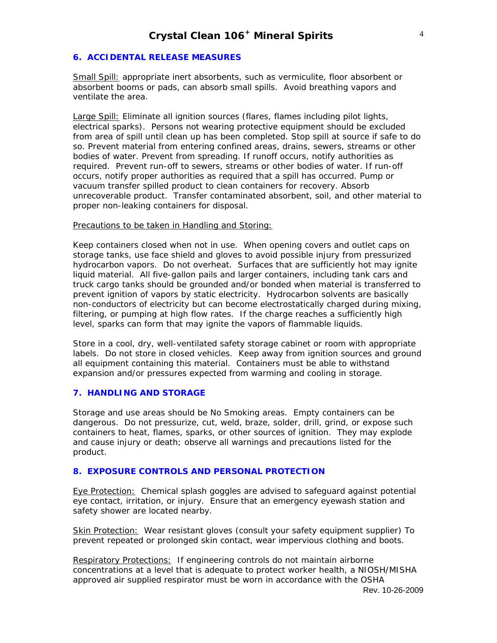#### **6. ACCIDENTAL RELEASE MEASURES**

Small Spill: appropriate inert absorbents, such as vermiculite, floor absorbent or absorbent booms or pads, can absorb small spills. Avoid breathing vapors and ventilate the area.

Large Spill: Eliminate all ignition sources (flares, flames including pilot lights, electrical sparks). Persons not wearing protective equipment should be excluded from area of spill until clean up has been completed. Stop spill at source if safe to do so. Prevent material from entering confined areas, drains, sewers, streams or other bodies of water. Prevent from spreading. If runoff occurs, notify authorities as required. Prevent run-off to sewers, streams or other bodies of water. If run-off occurs, notify proper authorities as required that a spill has occurred. Pump or vacuum transfer spilled product to clean containers for recovery. Absorb unrecoverable product. Transfer contaminated absorbent, soil, and other material to proper non-leaking containers for disposal.

#### Precautions to be taken in Handling and Storing:

Keep containers closed when not in use. When opening covers and outlet caps on storage tanks, use face shield and gloves to avoid possible injury from pressurized hydrocarbon vapors. Do not overheat. Surfaces that are sufficiently hot may ignite liquid material. All five-gallon pails and larger containers, including tank cars and truck cargo tanks should be grounded and/or bonded when material is transferred to prevent ignition of vapors by static electricity. Hydrocarbon solvents are basically non-conductors of electricity but can become electrostatically charged during mixing, filtering, or pumping at high flow rates. If the charge reaches a sufficiently high level, sparks can form that may ignite the vapors of flammable liquids.

Store in a cool, dry, well-ventilated safety storage cabinet or room with appropriate labels. Do not store in closed vehicles. Keep away from ignition sources and ground all equipment containing this material. Containers must be able to withstand expansion and/or pressures expected from warming and cooling in storage.

#### **7. HANDLING AND STORAGE**

Storage and use areas should be No Smoking areas. Empty containers can be dangerous. Do not pressurize, cut, weld, braze, solder, drill, grind, or expose such containers to heat, flames, sparks, or other sources of ignition. They may explode and cause injury or death; observe all warnings and precautions listed for the product.

#### **8. EXPOSURE CONTROLS AND PERSONAL PROTECTION**

Eye Protection: Chemical splash goggles are advised to safeguard against potential eye contact, irritation, or injury. Ensure that an emergency eyewash station and safety shower are located nearby.

Skin Protection: Wear resistant gloves (consult your safety equipment supplier) To prevent repeated or prolonged skin contact, wear impervious clothing and boots.

Respiratory Protections: If engineering controls do not maintain airborne concentrations at a level that is adequate to protect worker health, a NIOSH/MISHA approved air supplied respirator must be worn in accordance with the OSHA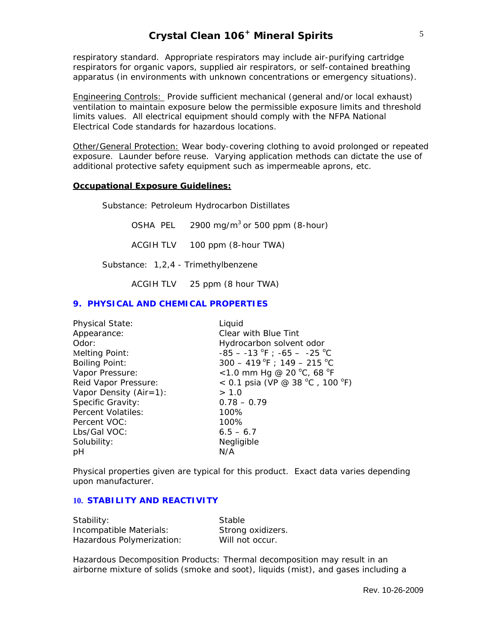# **Crystal Clean 106+ Mineral Spirits**

respiratory standard. Appropriate respirators may include air-purifying cartridge respirators for organic vapors, supplied air respirators, or self-contained breathing apparatus (in environments with unknown concentrations or emergency situations).

Engineering Controls: Provide sufficient mechanical (general and/or local exhaust) ventilation to maintain exposure below the permissible exposure limits and threshold limits values. All electrical equipment should comply with the NFPA National Electrical Code standards for hazardous locations.

Other/General Protection: Wear body-covering clothing to avoid prolonged or repeated exposure. Launder before reuse. Varying application methods can dictate the use of additional protective safety equipment such as impermeable aprons, etc.

#### **Occupational Exposure Guidelines:**

Substance*:* Petroleum Hydrocarbon Distillates

OSHA PEL  $2900 \text{ mg/m}^3$  or 500 ppm (8-hour)

ACGIH TLV 100 ppm (8-hour TWA)

Substance: 1,2,4 - Trimethylbenzene

ACGIH TLV 25 ppm (8 hour TWA)

#### **9. PHYSICAL AND CHEMICAL PROPERTIES**

| <b>Physical State:</b>    | Liquid                          |
|---------------------------|---------------------------------|
| Appearance:               | Clear with Blue Tint            |
| Odor:                     | Hydrocarbon solvent odor        |
| Melting Point:            | $-85 - -13$ °F ; $-65 - -25$ °C |
| <b>Boiling Point:</b>     | $300 - 419$ °F; 149 - 215 °C    |
| Vapor Pressure:           | <1.0 mm Hg @ 20 °C, 68 °F       |
| Reid Vapor Pressure:      | < 0.1 psia (VP @ 38 °C, 100 °F) |
| Vapor Density $(Air=1)$ : | > 1.0                           |
| Specific Gravity:         | $0.78 - 0.79$                   |
| Percent Volatiles:        | 100%                            |
| Percent VOC:              | 100%                            |
| Lbs/Gal VOC:              | $6.5 - 6.7$                     |
| Solubility:               | Negligible                      |
| рH                        | N/A                             |

Physical properties given are typical for this product. Exact data varies depending upon manufacturer.

#### **10. STABILITY AND REACTIVITY**

| Stability:                | Stable            |
|---------------------------|-------------------|
| Incompatible Materials:   | Strong oxidizers. |
| Hazardous Polymerization: | Will not occur.   |

Hazardous Decomposition Products: Thermal decomposition may result in an airborne mixture of solids (smoke and soot), liquids (mist), and gases including a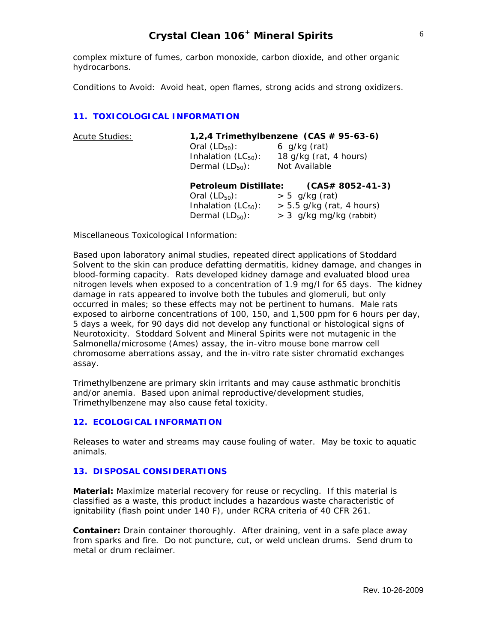# **Crystal Clean 106+ Mineral Spirits**

complex mixture of fumes, carbon monoxide, carbon dioxide, and other organic hydrocarbons.

Conditions to Avoid: Avoid heat, open flames, strong acids and strong oxidizers.

### **11. TOXICOLOGICAL INFORMATION**

| <b>Acute Studies:</b> | Oral $(LD_{50})$ :<br>Inhalation $(LC_{50})$ :<br>Dermal $(LD_{50})$ :                          | 1,2,4 Trimethylbenzene $(CAS \# 95-63-6)$<br>$6$ g/kg (rat)<br>18 g/kg (rat, 4 hours)<br>Not Available |
|-----------------------|-------------------------------------------------------------------------------------------------|--------------------------------------------------------------------------------------------------------|
|                       | Petroleum Distillate:<br>Oral $(LD_{50})$ :<br>Inhalation $(LC_{50})$ :<br>Dermal $(LD_{50})$ : | $(CAS# 8052-41-3)$<br>$> 5$ g/kg (rat)<br>$> 5.5$ g/kg (rat, 4 hours)<br>$> 3$ g/kg mg/kg (rabbit)     |

Miscellaneous Toxicological Information:

Based upon laboratory animal studies, repeated direct applications of Stoddard Solvent to the skin can produce defatting dermatitis, kidney damage, and changes in blood-forming capacity. Rats developed kidney damage and evaluated blood urea nitrogen levels when exposed to a concentration of 1.9 mg/l for 65 days. The kidney damage in rats appeared to involve both the tubules and glomeruli, but only occurred in males; so these effects may not be pertinent to humans. Male rats exposed to airborne concentrations of 100, 150, and 1,500 ppm for 6 hours per day, 5 days a week, for 90 days did not develop any functional or histological signs of Neurotoxicity. Stoddard Solvent and Mineral Spirits were not mutagenic in the Salmonella/microsome (Ames) assay, the in-vitro mouse bone marrow cell chromosome aberrations assay, and the in-vitro rate sister chromatid exchanges assay.

Trimethylbenzene are primary skin irritants and may cause asthmatic bronchitis and/or anemia. Based upon animal reproductive/development studies, Trimethylbenzene may also cause fetal toxicity.

#### **12. ECOLOGICAL INFORMATION**

Releases to water and streams may cause fouling of water. May be toxic to aquatic animals.

#### **13. DISPOSAL CONSIDERATIONS**

**Material:** Maximize material recovery for reuse or recycling. If this material is classified as a waste, this product includes a hazardous waste characteristic of ignitability (flash point under 140 F), under RCRA criteria of 40 CFR 261.

**Container:** Drain container thoroughly. After draining, vent in a safe place away from sparks and fire. Do not puncture, cut, or weld unclean drums. Send drum to metal or drum reclaimer.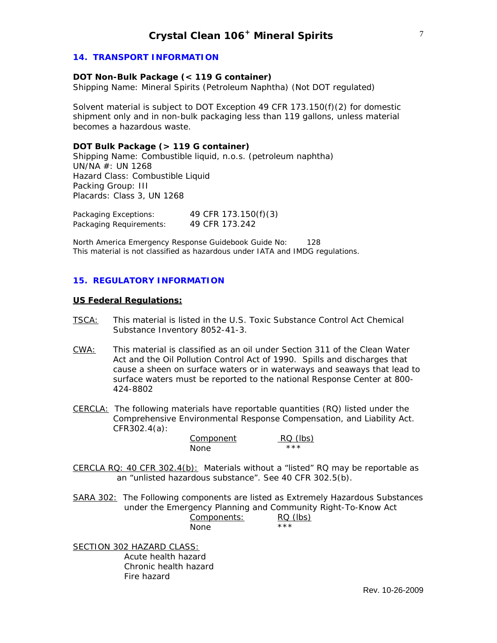#### **14. TRANSPORT INFORMATION**

#### **DOT Non-Bulk Package (< 119 G container)**

Shipping Name: Mineral Spirits (Petroleum Naphtha) (Not DOT regulated)

Solvent material is subject to DOT Exception 49 CFR 173.150(f)(2) for domestic shipment only and in non-bulk packaging less than 119 gallons, unless material becomes a hazardous waste.

#### **DOT Bulk Package (> 119 G container)**

Shipping Name: Combustible liquid, n.o.s. (petroleum naphtha) UN/NA #: UN 1268 Hazard Class: Combustible Liquid Packing Group: III Placards: Class 3, UN 1268

| Packaging Exceptions:   | 49 CFR 173.150(f)(3) |
|-------------------------|----------------------|
| Packaging Requirements: | 49 CFR 173.242       |

North America Emergency Response Guidebook Guide No: 128 This material is not classified as hazardous under IATA and IMDG regulations.

#### **15. REGULATORY INFORMATION**

#### **US Federal Regulations:**

- TSCA: This material is listed in the U.S. Toxic Substance Control Act Chemical Substance Inventory 8052-41-3.
- CWA: This material is classified as an oil under Section 311 of the Clean Water Act and the Oil Pollution Control Act of 1990. Spills and discharges that cause a sheen on surface waters or in waterways and seaways that lead to surface waters must be reported to the national Response Center at 800- 424-8802
- CERCLA: The following materials have reportable quantities (RQ) listed under the Comprehensive Environmental Response Compensation, and Liability Act. CFR302.4(a):

| Component | RQ (lbs) |
|-----------|----------|
| None      | ***      |

CERCLA RQ: 40 CFR  $302.4(b)$ : Materials without a "listed" RQ may be reportable as an "unlisted hazardous substance". See 40 CFR 302.5(b).

SARA 302: The Following components are listed as Extremely Hazardous Substances under the Emergency Planning and Community Right-To-Know Act Components: RQ (lbs) None \*\*\*

SECTION 302 HAZARD CLASS: Acute health hazard Chronic health hazard Fire hazard